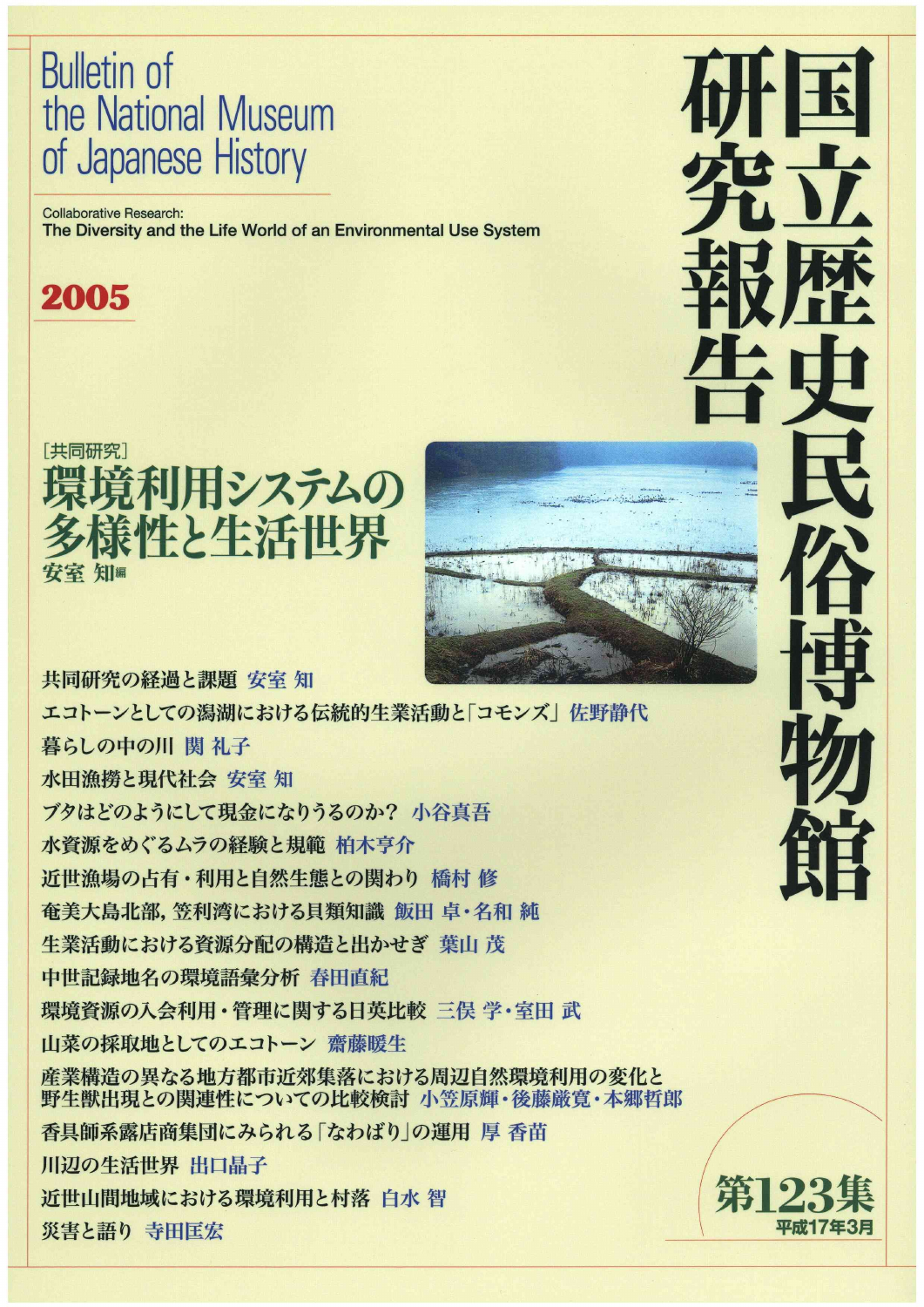## Bulletin of the National Museum of Japanese History

Collaborative Research: The Diversity and the Life World of an Environmental Use System

## 2005



共同研究の経過と課題 安室 知 エコトーンとしての潟湖における伝統的生業活動と「コモンズ」佐野静代 暮らしの中の川関礼子 水田漁撈と現代社会 安室 知 ブタはどのようにして現金になりうるのか?小谷真吾 水資源をめぐるムラの経験と規範 柏木亨介 近世漁場の占有・利用と自然生態との関わり 橋村 修 奄美大島北部, 笠利湾における貝類知識 飯田 卓・名和 純 生業活動における資源分配の構造と出かせぎ 葉山 茂 中世記録地名の環境語彙分析 春田直紀 環境資源の入会利用・管理に関する日英比較 三俣 学・室田 武 山菜の採取地としてのエコトーン齋藤暖生 産業構造の異なる地方都市近郊集落における周辺自然環境利用の変化と 野生獣出現との関連性についての比較検討 小笠原輝・後藤厳寛・本郷哲郎 香具師系露店商集団にみられる「なわばり」の運用 厚 香苗 川辺の生活世界 出口晶子 近世山間地域における環境利用と村落 白水 智 **災害と語り 寺田匡宏** あたい こうしゃ こうしゃ こうしゃ かいしゃ アプリケーション エンジェクト アプリケーション アプリケーション アプリケーション アプリケーション



縷難麟縦

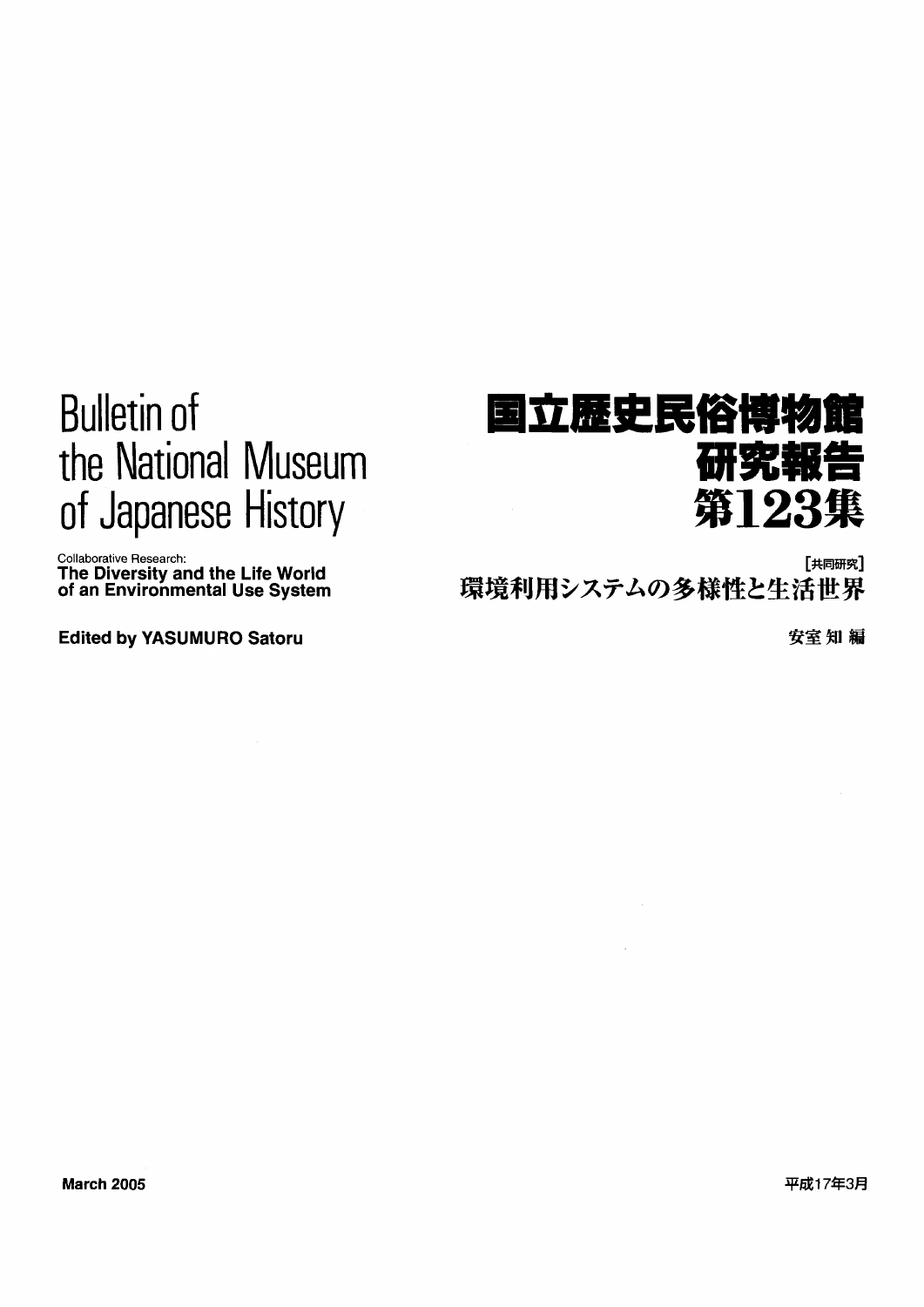## Bulletin of the National Museum of Japanese History

## 国立歴史民俗博物館 研究報告 第123集

Collaborative Research: The Diversity and the Life World of an Environmental Use System

Edited by YASUMURO Satoru

,他们的人们也不会让他们的人<mark>!</mark>共同研究<sub>,</sub> 環境利用システムの多様性と生活世界

安室知編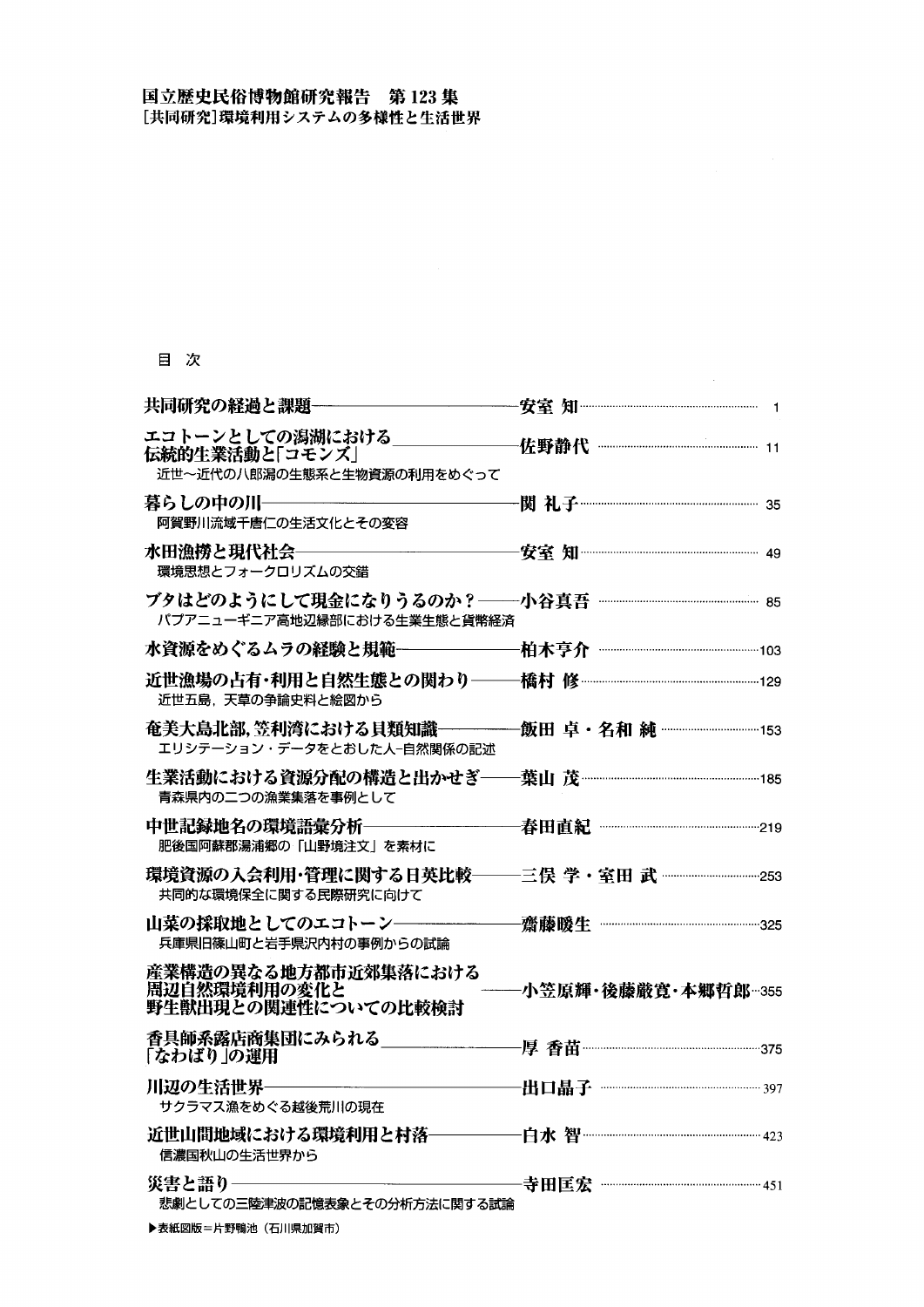#### 目 次

| 伝統的生業活動と「コモンズ」<br>近世~近代の八郎潟の生態系と生物資源の利用をめぐって                          |                         |
|-----------------------------------------------------------------------|-------------------------|
| 暮らしの中の川―――――――<br>阿賀野川流域千唐仁の生活文化とその変容                                 |                         |
| 水田漁撈と現代社会−<br>環境思想とフォークロリズムの交錯                                        |                         |
| パプアニューギニア高地辺縁部における生業生態と貨幣経済                                           |                         |
| 水資源をめぐるムラの経験と規範―――――――                                                |                         |
| 近世漁場の占有・利用と自然生態との関わり――<br>近世五島、天草の争論史料と絵図から                           |                         |
| 奄美大島北部,笠利湾における貝類知識――――<br>エリシテーション・データをとおした人-自然関係の記述                  | 飯田 卓・名和 純 …………………………153 |
| 青森県内の二つの漁業集落を事例として                                                    |                         |
| 中世記録地名の環境語彙分析-<br>肥後国阿蘇郡湯浦郷の「山野境注文」を素材に                               |                         |
| 環境資源の入会利用・管理に関する日英比較――三俣 学・室田 武 …………………………253<br>共同的な環境保全に関する民際研究に向けて |                         |
| 山菜の採取地としてのエコトーン――――――<br>兵庫県旧篠山町と岩手県沢内村の事例からの試論                       |                         |
| 産業構造の異なる地方都市近郊集落における<br>周辺自然環境利用の変化と<br>野生獣出現との関連性についての比較検討           | ·小笠原輝・後藤厳寛・本郷哲郎…355     |
| 香具師系露店商集団にみられる<br>「なわばり」の運用                                           |                         |
| 川辺の生活世界――――<br>サクラマス漁をめぐる越後荒川の現在                                      |                         |
| 信濃国秋山の生活世界から                                                          |                         |
| 災害と語り-<br>悲劇としての三陸津波の記憶表象とその分析方法に関する試論                                |                         |

 $\sim 10^{11}$ 

レ表紙図版=片野鴨池(石川県加賀市)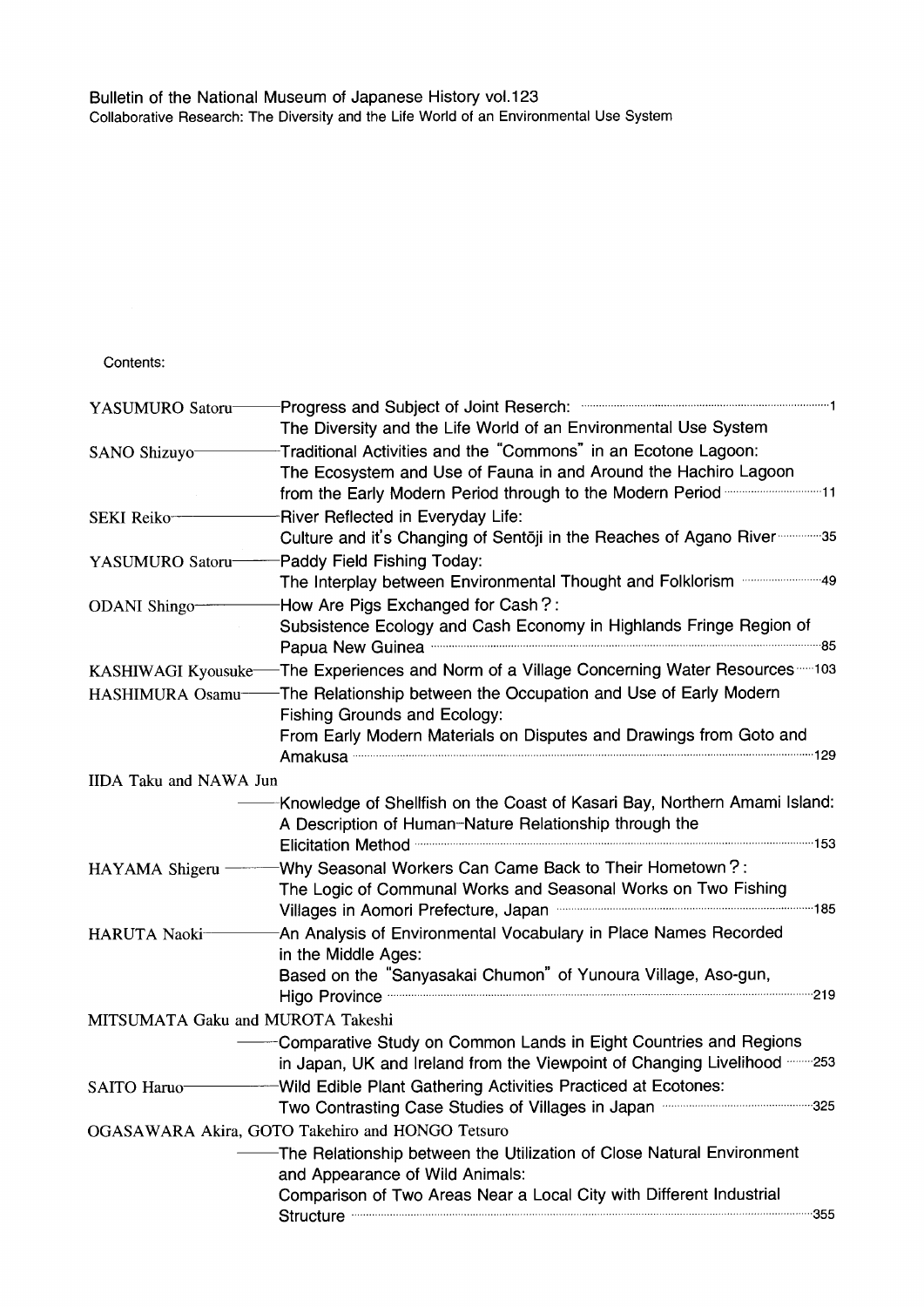Contents:

| YASUMURO Satoru-                  | The Diversity and the Life World of an Environmental Use System                                                                                                                                                                                                                                                                                                                                |  |
|-----------------------------------|------------------------------------------------------------------------------------------------------------------------------------------------------------------------------------------------------------------------------------------------------------------------------------------------------------------------------------------------------------------------------------------------|--|
| SANO Shizuyo-                     | -Traditional Activities and the "Commons" in an Ecotone Lagoon:<br>The Ecosystem and Use of Fauna in and Around the Hachiro Lagoon<br>from the Early Modern Period through to the Modern Period <b>multiples</b> 11                                                                                                                                                                            |  |
| SEKI Reiko                        | River Reflected in Everyday Life:<br>Culture and it's Changing of Sentoji in the Reaches of Agano River  35                                                                                                                                                                                                                                                                                    |  |
| YASUMURO Satoru-                  | Paddy Field Fishing Today:<br>The Interplay between Environmental Thought and Folklorism <b>manufoliation</b> 49                                                                                                                                                                                                                                                                               |  |
| ODANI Shingo-                     | How Are Pigs Exchanged for Cash?:<br>Subsistence Ecology and Cash Economy in Highlands Fringe Region of<br>Papua New Guinea <b>Commission Commission Commission</b> and a                                                                                                                                                                                                                      |  |
| KASHIWAGI Kyousuke                | -The Experiences and Norm of a Village Concerning Water Resources-3331                                                                                                                                                                                                                                                                                                                         |  |
| HASHIMURA Osamu-                  | The Relationship between the Occupation and Use of Early Modern<br>Fishing Grounds and Ecology:                                                                                                                                                                                                                                                                                                |  |
|                                   | From Early Modern Materials on Disputes and Drawings from Goto and                                                                                                                                                                                                                                                                                                                             |  |
|                                   | Amakusa <b>www.wakusa.com 29</b>                                                                                                                                                                                                                                                                                                                                                               |  |
| <b>IIDA Taku and NAWA Jun</b>     |                                                                                                                                                                                                                                                                                                                                                                                                |  |
|                                   | Knowledge of Shellfish on the Coast of Kasari Bay, Northern Amami Island:<br>A Description of Human-Nature Relationship through the                                                                                                                                                                                                                                                            |  |
| HAYAMA Shigeru —                  | Why Seasonal Workers Can Came Back to Their Hometown?:<br>The Logic of Communal Works and Seasonal Works on Two Fishing                                                                                                                                                                                                                                                                        |  |
| HARUTA Naoki-                     | An Analysis of Environmental Vocabulary in Place Names Recorded<br>in the Middle Ages:<br>Based on the "Sanyasakai Chumon" of Yunoura Village, Aso-gun,<br>Higo Province <b>Constitution of the Constitution</b> and Constitution of the Constitution of the Constitution of the Constitution of the Constitution of the Constitution of the Constitution of the Constitution of the Constitut |  |
| MITSUMATA Gaku and MUROTA Takeshi |                                                                                                                                                                                                                                                                                                                                                                                                |  |
|                                   | Comparative Study on Common Lands in Eight Countries and Regions<br>in Japan, UK and Ireland from the Viewpoint of Changing Livelihood 253                                                                                                                                                                                                                                                     |  |
| SAITO Haruo-                      | -Wild Edible Plant Gathering Activities Practiced at Ecotones:<br>Two Contrasting Case Studies of Villages in Japan manufacture 325                                                                                                                                                                                                                                                            |  |
|                                   | OGASAWARA Akira, GOTO Takehiro and HONGO Tetsuro                                                                                                                                                                                                                                                                                                                                               |  |
|                                   | The Relationship between the Utilization of Close Natural Environment<br>and Appearance of Wild Animals:                                                                                                                                                                                                                                                                                       |  |
|                                   | Comparison of Two Areas Near a Local City with Different Industrial<br>Structure <b>255</b>                                                                                                                                                                                                                                                                                                    |  |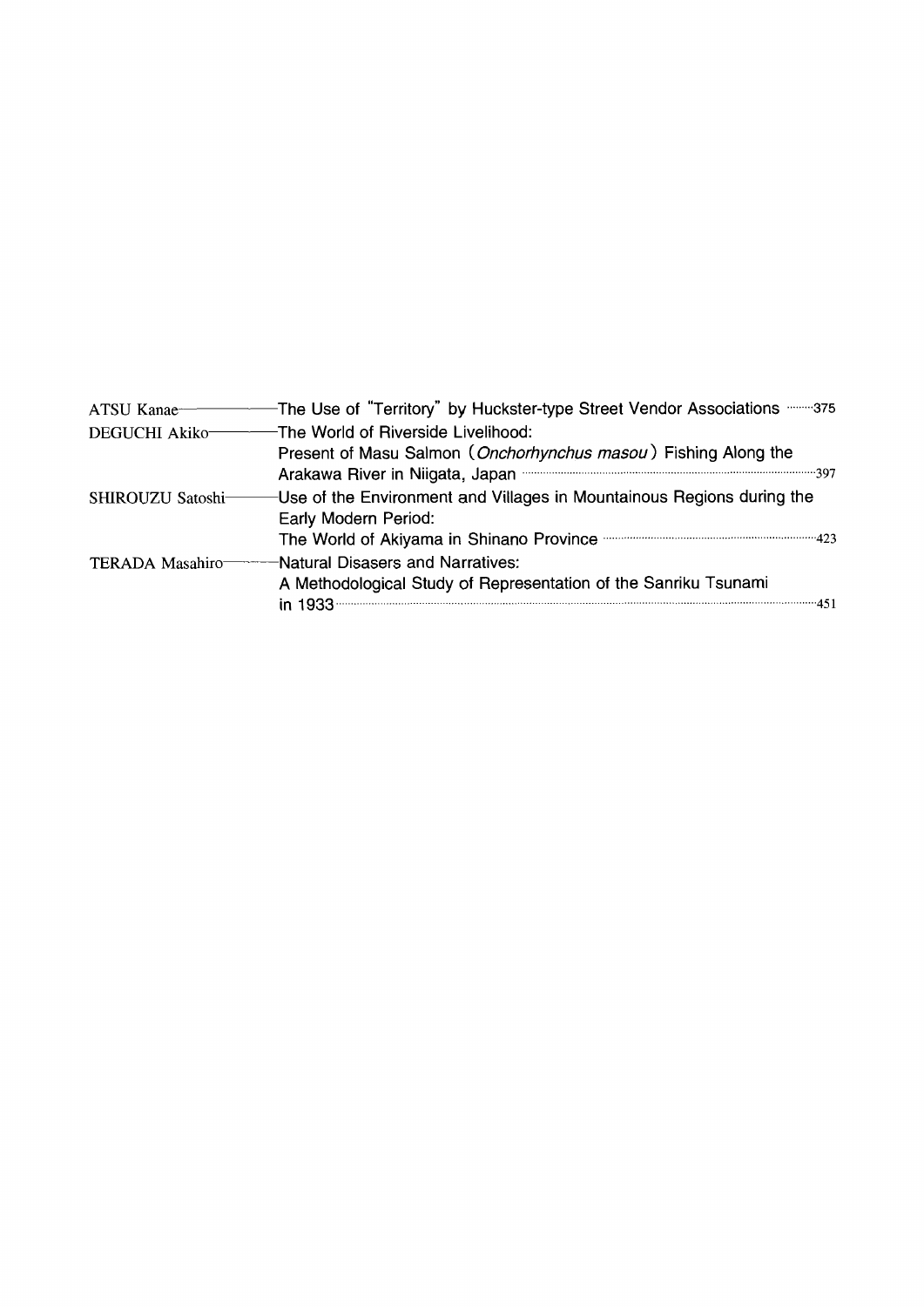| -The Use of "Territory" by Huckster-type Street Vendor Associations 375                                                                                                                                                                   |
|-------------------------------------------------------------------------------------------------------------------------------------------------------------------------------------------------------------------------------------------|
| -The World of Riverside Livelihood:                                                                                                                                                                                                       |
| Present of Masu Salmon (Onchorhynchus masou) Fishing Along the                                                                                                                                                                            |
|                                                                                                                                                                                                                                           |
| Use of the Environment and Villages in Mountainous Regions during the                                                                                                                                                                     |
| Early Modern Period:                                                                                                                                                                                                                      |
| The World of Akiyama in Shinano Province <b>Constructs</b> 223                                                                                                                                                                            |
| Natural Disasers and Narratives:                                                                                                                                                                                                          |
| A Methodological Study of Representation of the Sanriku Tsunami                                                                                                                                                                           |
| in 1933 <b><i>non-contract to the contract of the contract of the contract of the contract of the contract</i> of the contract of the contract of the contract of the contract of the contract of the contract of the contract of the</b> |
|                                                                                                                                                                                                                                           |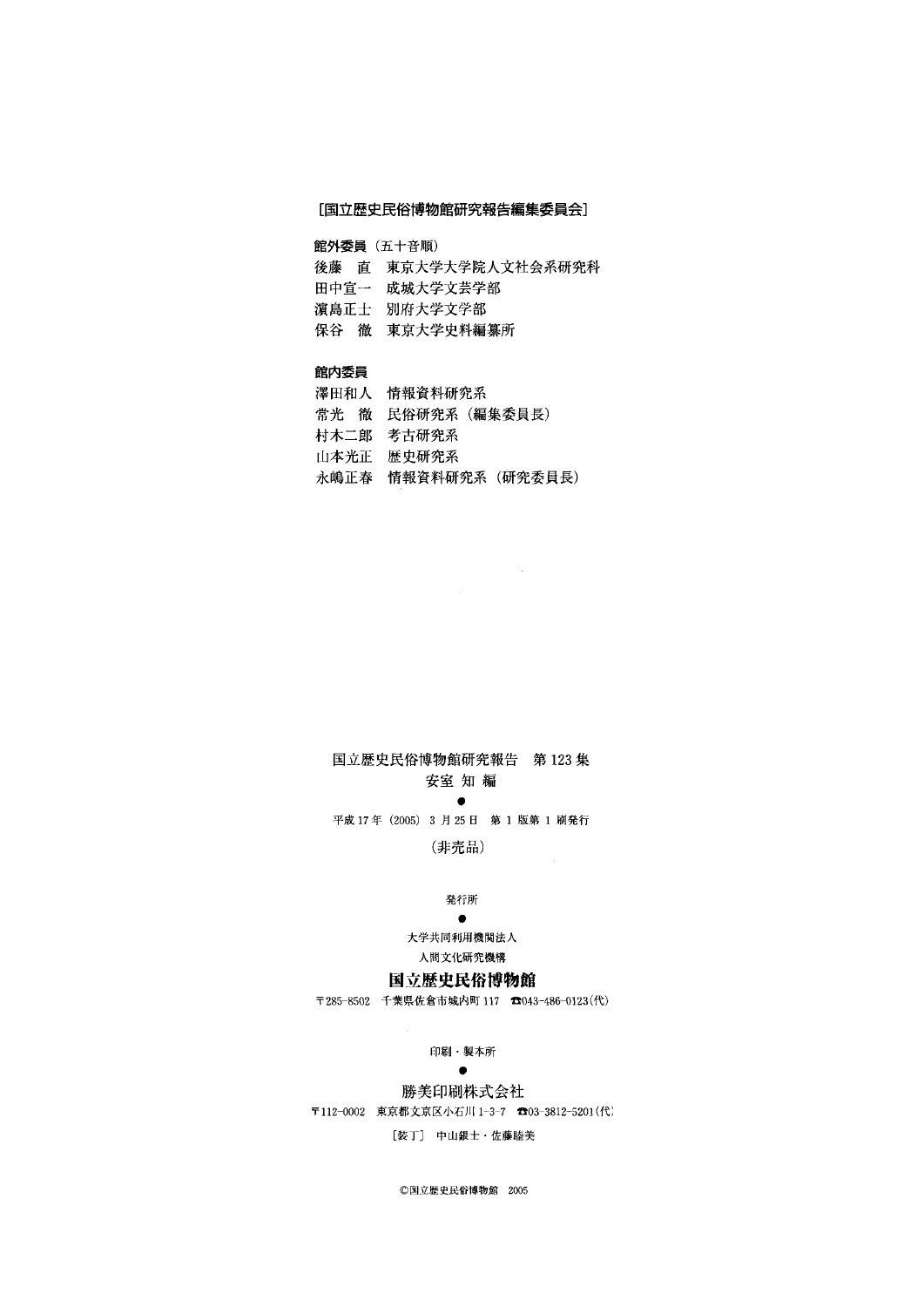#### [国立歴史民俗博物館研究報告編集委員会]

館外委員(五十音順)

- 後藤 直 東京大学大学院人文社会系研究科
- 田中宣一 成城大学文芸学部
- 濱島正士 別府大学文学部
- 保谷 徹 東京大学史料編纂所

#### 館内委員

- 澤田和人 情報資料研究系
- 常光 徹 民俗研究系 (編集委員長)
- 村木二郎 考古研究系
- 山本光正 歴史研究系
- 永嶋正春 情報資料研究系(研究委員長)

 $\sim$ 

#### 国立歴史民俗博物館研究報告 第123集 安室知編

**Contract Contract Contract Contract Contract** 平成17年(2005)3月25日 第1版第1刷発行

(非売品)

#### 発行所

#### and the state of the state of the state of 大学共同利用機関法人

人間文化研究機構

#### 国立歴史民俗博物館

〒285-8502千葉県佐倉市城内町117奮043-486-0123(代)

#### 印刷・製本所

#### experience and the contract of the contract of

#### 勝美印刷株式会社

〒112-0002 東京都文京区小石川1-3-7 奮03-3812-5201(代)

[装丁] 中山銀士・佐藤睦美

◎国立歴史民俗博物館 2005